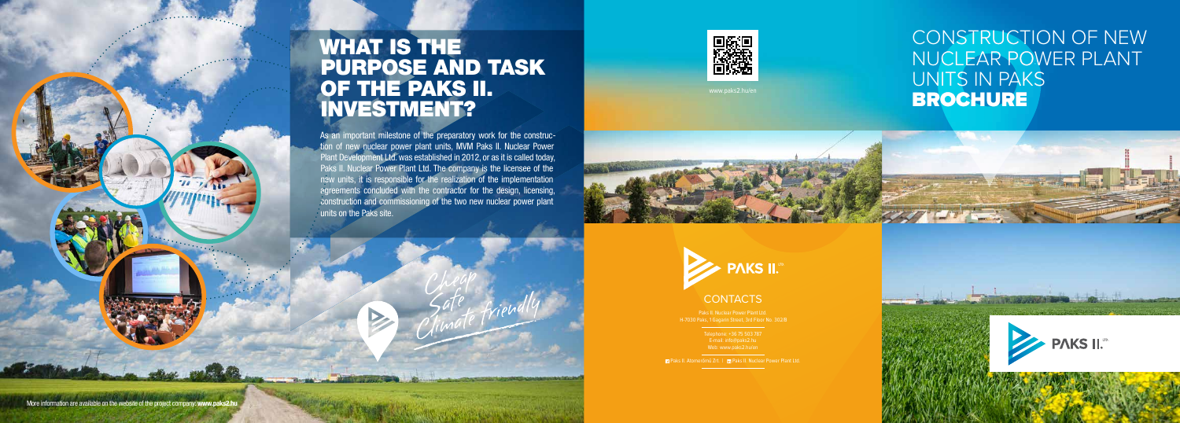## CONSTRUCTION OF NEW NUCLEAR POWER PLANT UNITS IN PAKS BROCHURE





#### **CONTACTS**

As an important milestone of the preparatory work for the construction of new nuclear power plant units, MVM Paks II. Nuclear Power Plant Development Ltd. was established in 2012, or as it is called today, Paks II. Nuclear Power Plant Ltd. The company is the licensee of the new units, it is responsible for the realization of the implementation agreements concluded with the contractor for the design, licensing, construction and commissioning of the two new nuclear power plant units on the Paks site.



# WHAT IS THE PURPOSE AND TASK OF THE PAKS II. INVESTMENT?

www.paks2.hu/en

H-7030 Paks, 1 Gagarin Street, 3rd Floor No. 302/B

Telephone: +36 75 503 787 E-mail: info@paks2.hu Web: www.paks2.hu/en

**E1** Paks II. Atomerőmű Zrt. | **E1** Paks II. Nuclear Power Plant Ltd.